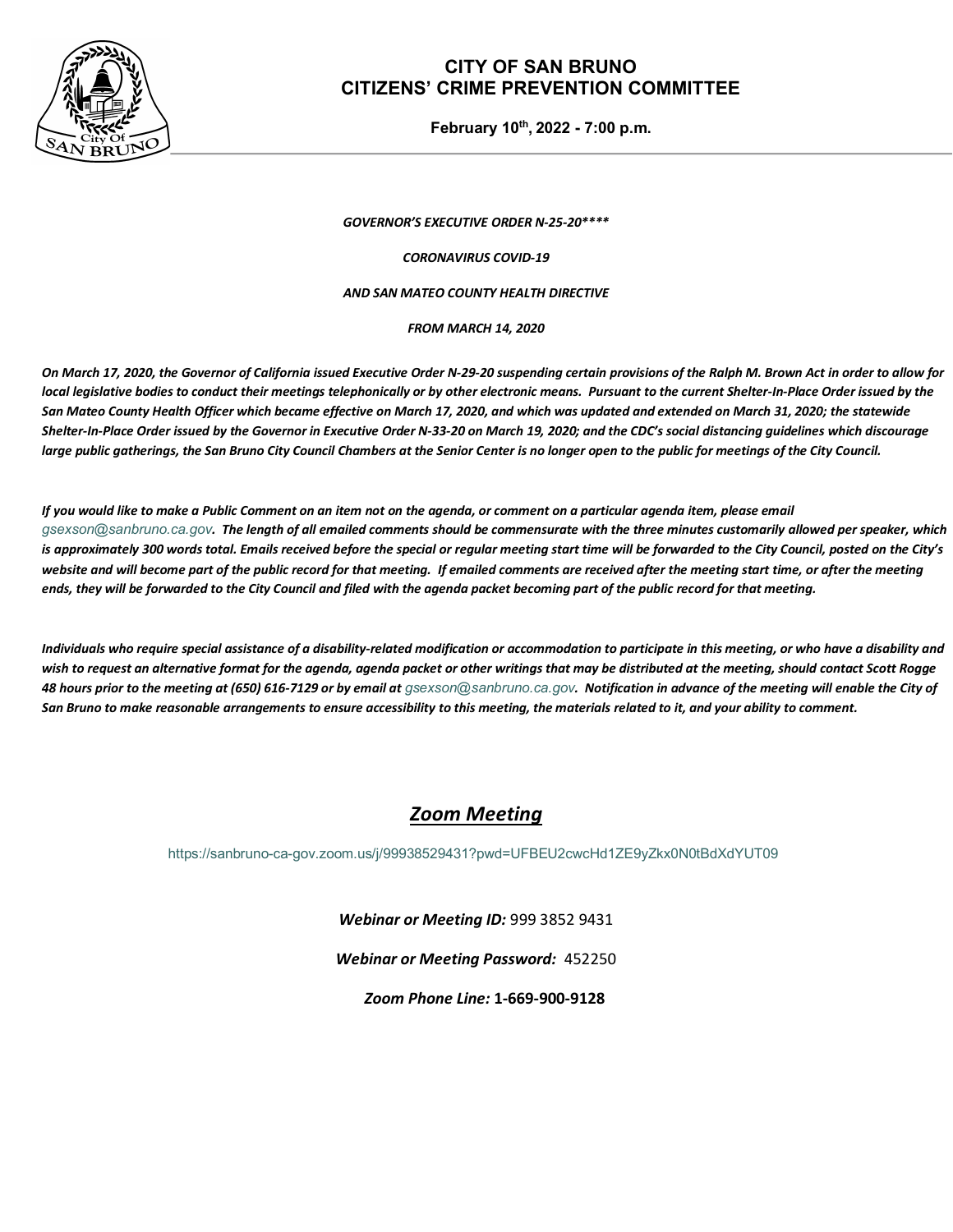

### **CITY OF SAN BRUNO CITIZENS' CRIME PREVENTION COMMITTEE**

**February 10th, 2022 - 7:00 p.m.**

*GOVERNOR'S EXECUTIVE ORDER N-25-20\*\*\*\**

*CORONAVIRUS COVID-19*

#### *AND SAN MATEO COUNTY HEALTH DIRECTIVE*

*FROM MARCH 14, 2020*

*On March 17, 2020, the Governor of California issued Executive Order N-29-20 suspending certain provisions of the Ralph M. Brown Act in order to allow for local legislative bodies to conduct their meetings telephonically or by other electronic means. Pursuant to the current Shelter-In-Place Order issued by the San Mateo County Health Officer which became effective on March 17, 2020, and which was updated and extended on March 31, 2020; the statewide Shelter-In-Place Order issued by the Governor in Executive Order N-33-20 on March 19, 2020; and the CDC's social distancing guidelines which discourage large public gatherings, the San Bruno City Council Chambers at the Senior Center is no longer open to the public for meetings of the City Council.* 

*If you would like to make a Public Comment on an item not on the agenda, or comment on a particular agenda item, please email [gsexson@sanbruno.ca.gov](mailto:gsexson@sanbruno.ca.gov). The length of all emailed comments should be commensurate with the three minutes customarily allowed per speaker, which*  is approximately 300 words total. Emails received before the special or regular meeting start time will be forwarded to the City Council, posted on the City's website and will become part of the public record for that meeting. If emailed comments are received after the meeting start time, or after the meeting *ends, they will be forwarded to the City Council and filed with the agenda packet becoming part of the public record for that meeting.* 

*Individuals who require special assistance of a disability-related modification or accommodation to participate in this meeting, or who have a disability and wish to request an alternative format for the agenda, agenda packet or other writings that may be distributed at the meeting, should contact Scott Rogge 48 hours prior to the meeting at (650) 616-7129 or by email at [gsexson@sanbruno.ca.gov](mailto:gsexson@sanbruno.ca.gov). Notification in advance of the meeting will enable the City of San Bruno to make reasonable arrangements to ensure accessibility to this meeting, the materials related to it, and your ability to comment.*

## *Zoom Meeting*

<https://sanbruno-ca-gov.zoom.us/j/99938529431?pwd=UFBEU2cwcHd1ZE9yZkx0N0tBdXdYUT09>

*Webinar or Meeting ID:* 999 3852 9431

*Webinar or Meeting Password:* 452250

*Zoom Phone Line:* **1-669-900-9128**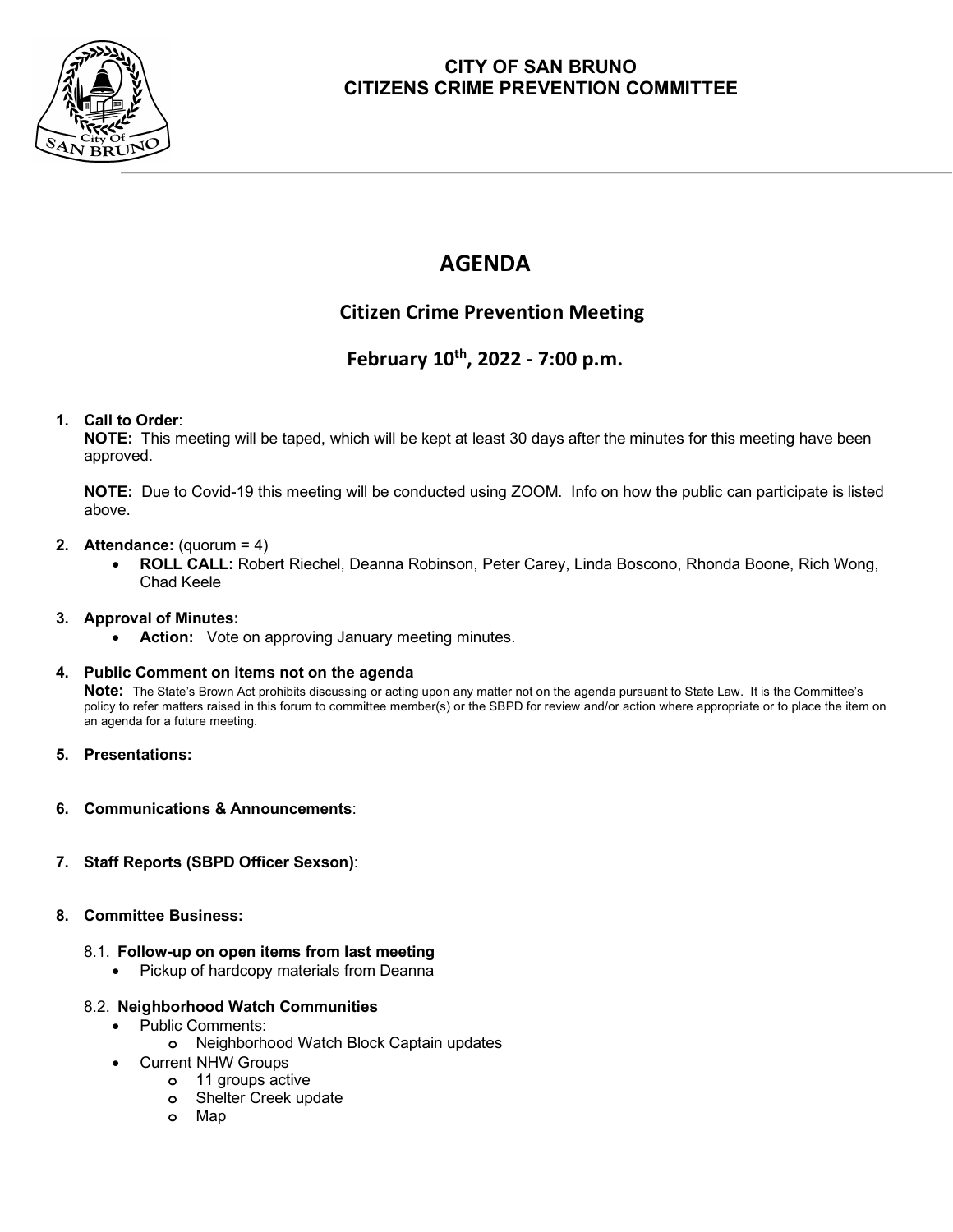

## **CITY OF SAN BRUNO CITIZENS CRIME PREVENTION COMMITTEE**

# **AGENDA**

## **Citizen Crime Prevention Meeting**

## **February 10th, 2022 - 7:00 p.m.**

#### **1. Call to Order**:

**NOTE:** This meeting will be taped, which will be kept at least 30 days after the minutes for this meeting have been approved.

**NOTE:** Due to Covid-19 this meeting will be conducted using ZOOM. Info on how the public can participate is listed above.

#### **2. Attendance:** (quorum = 4)

• **ROLL CALL:** Robert Riechel, Deanna Robinson, Peter Carey, Linda Boscono, Rhonda Boone, Rich Wong, Chad Keele

#### **3. Approval of Minutes:**

Action: Vote on approving January meeting minutes.

#### **4. Public Comment on items not on the agenda**

**Note:** The State's Brown Act prohibits discussing or acting upon any matter not on the agenda pursuant to State Law. It is the Committee's policy to refer matters raised in this forum to committee member(s) or the SBPD for review and/or action where appropriate or to place the item on an agenda for a future meeting.

#### **5. Presentations:**

**6. Communications & Announcements**:

#### **7. Staff Reports (SBPD Officer Sexson)**:

#### **8. Committee Business:**

#### 8.1. **Follow-up on open items from last meeting**

• Pickup of hardcopy materials from Deanna

#### 8.2. **Neighborhood Watch Communities**

- Public Comments:
	- **o** Neighborhood Watch Block Captain updates
	- Current NHW Groups
		- **o** 11 groups active
		- **o** Shelter Creek update
		- **o** Map